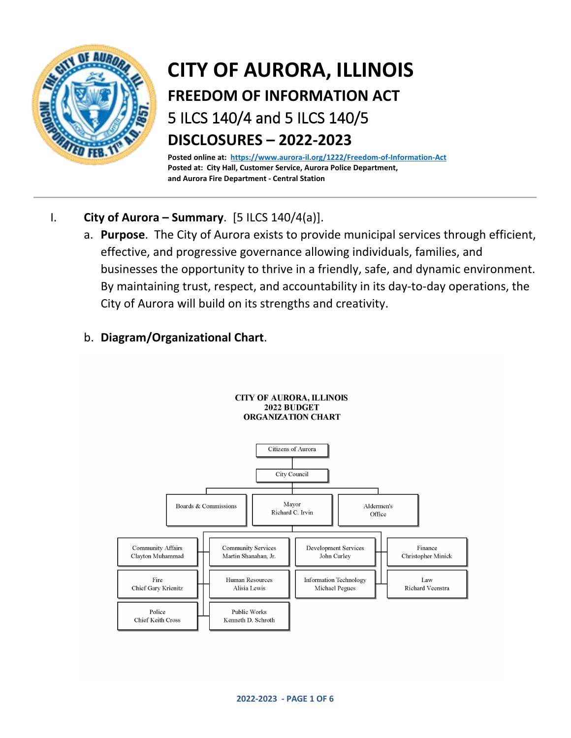

# **CITY OF AURORA, ILLINOIS FREEDOM OF INFORMATION ACT** 5 ILCS 140/4 and 5 ILCS 140/5 **DISCLOSURES – 2022-2023**

**Posted online at: <https://www.aurora-il.org/1222/Freedom-of-Information-Act> Posted at: City Hall, Customer Service, Aurora Police Department, and Aurora Fire Department - Central Station** 

- I. **City of Aurora Summary**. [5 ILCS 140/4(a)].
	- a. **Purpose**. The City of Aurora exists to provide municipal services through efficient, effective, and progressive governance allowing individuals, families, and businesses the opportunity to thrive in a friendly, safe, and dynamic environment. By maintaining trust, respect, and accountability in its day-to-day operations, the City of Aurora will build on its strengths and creativity.

# b. **Diagram/Organizational Chart**.



**CITY OF AURORA, ILLINOIS**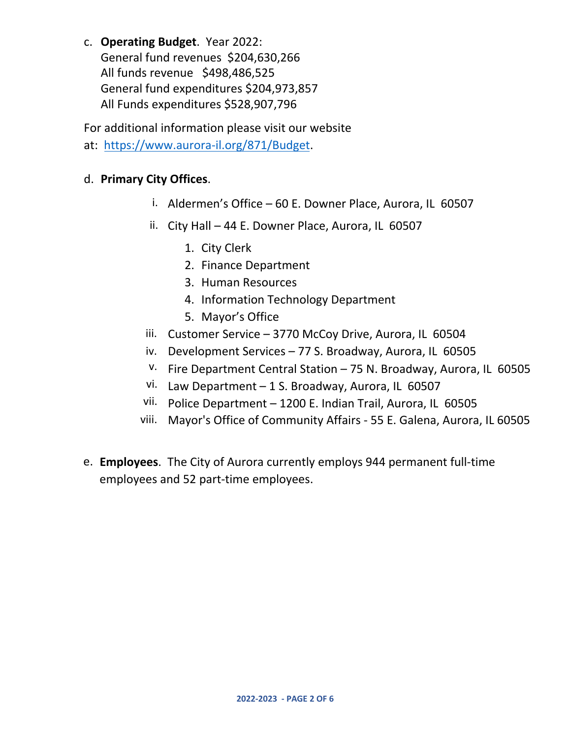c. **Operating Budget**. Year 2022:

General fund revenues \$204,630,266 All funds revenue \$498,486,525 General fund expenditures \$204,973,857 All Funds expenditures \$528,907,796

For additional information please visit our website at: [https://www.aurora-il.org/871/Bud](https://www.aurora-il.org/871/Budget)get.

## d. **Primary City Offices**.

- i. Aldermen's Office 60 E. Downer Place, Aurora, IL 60507
- ii. City Hall 44 E. Downer Place, Aurora, IL 60507
	- 1. City Clerk
	- 2. Finance Department
	- 3. Human Resources
	- 4. Information Technology Department
	- 5. Mayor's Office
- iii. Customer Service 3770 McCoy Drive, Aurora, IL 60504
- iv. Development Services 77 S. Broadway, Aurora, IL 60505
- v. Fire Department Central Station 75 N. Broadway, Aurora, IL 60505
- vi. Law Department 1 S. Broadway, Aurora, IL 60507
- vii. Police Department 1200 E. Indian Trail, Aurora, IL 60505
- viii. Mayor's Office of Community Affairs 55 E. Galena, Aurora, IL 60505
- e. **Employees**. The City of Aurora currently employs 944 permanent full-time employees and 52 part-time employees.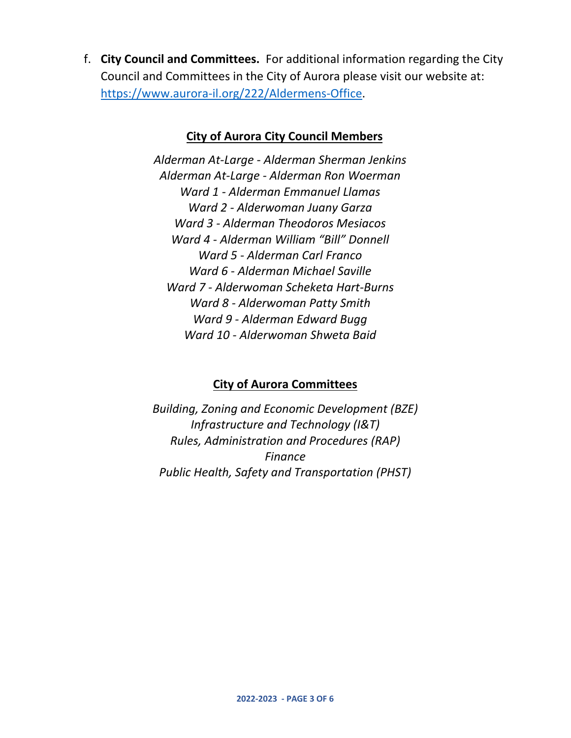f. **City Council and Committees.** For additional information regarding the City Council and Committees in the City of Aurora please visit our website at: [https://www.aurora-il.org/222/Aldermens-Office.](https://www.aurora-il.org/222/Aldermens-Office)

#### **City of Aurora City Council Members**

*Alderman At-Large - Alderman Sherman Jenkins Alderman At-Large - Alderman Ron Woerman Ward 1 - Alderman Emmanuel Llamas Ward 2 - Alderwoman Juany Garza Ward 3 - Alderman Theodoros Mesiacos Ward 4 - Alderman William "Bill" Donnell Ward 5 - Alderman Carl Franco Ward 6 - Alderman Michael Saville Ward 7 - Alderwoman Scheketa Hart-Burns Ward 8 - Alderwoman Patty Smith Ward 9 - Alderman Edward Bugg Ward 10 - Alderwoman Shweta Baid* 

## **City of Aurora Committees**

*Building, Zoning and Economic Development (BZE) Infrastructure and Technology (I&T) Rules, Administration and Procedures (RAP) Finance Public Health, Safety and Transportation (PHST)*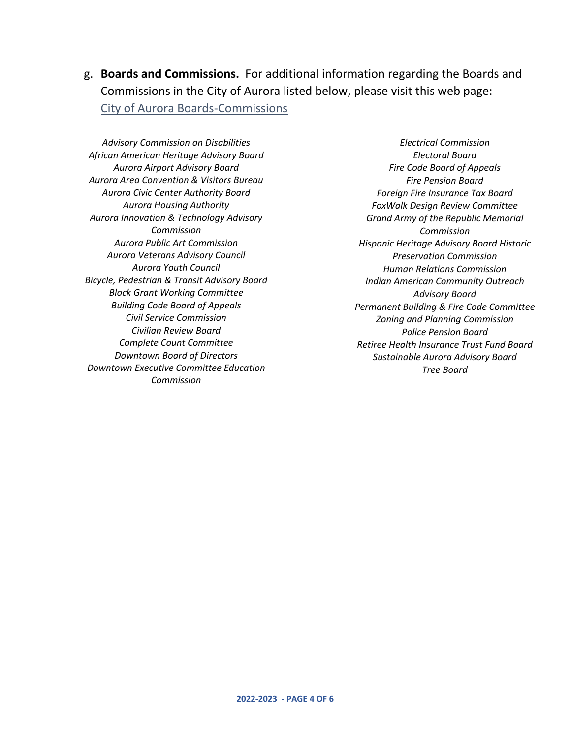g. **Boards and Commissions.** For additional information regarding the Boards and Commissions in the City of Aurora listed below, please visit this web page: [City of Aurora Boards-Commissions](https://www.aurora-il.org/230/Boards-Commissions)

*Advisory Commission on Disabilities African American Heritage Advisory Board Aurora Airport Advisory Board Aurora Area Convention & Visitors Bureau Aurora Civic Center Authority Board Aurora Housing Authority Aurora Innovation & Technology Advisory Commission Aurora Public Art Commission Aurora Veterans Advisory Council Aurora Youth Council Bicycle, Pedestrian & Transit Advisory Board Block Grant Working Committee Building Code Board of Appeals Civil Service Commission Civilian Review Board Complete Count Committee Downtown Board of Directors Downtown Executive Committee Education Commission* 

*Electrical Commission Electoral Board Fire Code Board of Appeals Fire Pension Board Foreign Fire Insurance Tax Board FoxWalk Design Review Committee Grand Army of the Republic Memorial Commission Hispanic Heritage Advisory Board Historic Preservation Commission Human Relations Commission Indian American Community Outreach Advisory Board Permanent Building & Fire Code Committee Zoning and Planning Commission Police Pension Board Retiree Health Insurance Trust Fund Board Sustainable Aurora Advisory Board Tree Board*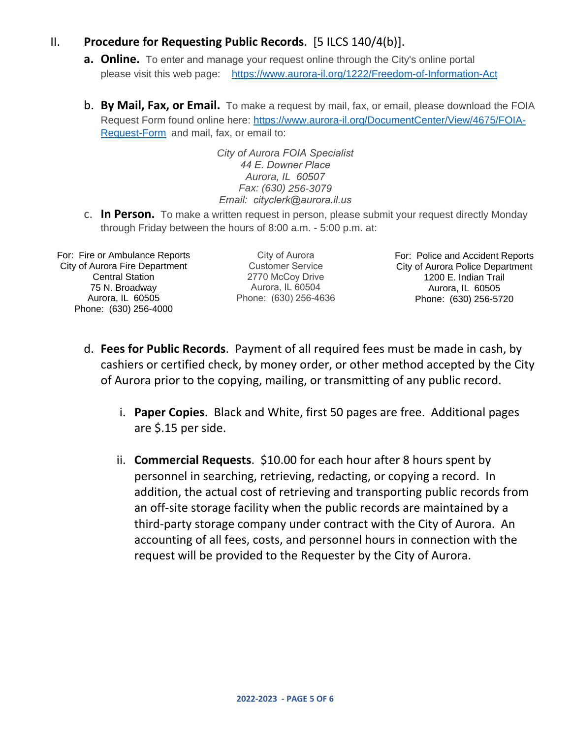#### II. **Procedure for Requesting Public Records**. [5 ILCS 140/4(b)].

- **a. Online.** To enter and manage your request online through the City's online portal please visit this web [page: https://www.aurora-il.org/1222/Freedom](https://www.aurora-il.org/1222/Freedom-of-Information-Act)-of-Information-Act
- b. **By Mail, Fax, or Email.** To make a request by mail, fax, or email, please download the FOIA Request Form found online here: [https://www.aurora-il.org/DocumentCenter/View/4675/FOIA-](https://www.aurora-il.org/DocumentCenter/View/4675/FOIA-Request-Form)[Request-Form](https://www.aurora-il.org/DocumentCenter/View/4675/FOIA-Request-Form) and mail, fax, or email to:

*City of Aurora FOIA Specialist 44 E. Downer Place Aurora, IL 60507 Fax: (630) 256-3079 Email: cityclerk@aurora.il.us*

c. **In Person.** To make a written request in person, please submit your request directly Monday through Friday between the hours of 8:00 a.m. - 5:00 p.m. at:

For: Fire or Ambulance Reports City of Aurora Fire Department Central Station 75 N. Broadway Aurora, IL 60505 Phone: (630) 256-4000

City of Aurora Customer Service 2770 McCoy Drive Aurora, IL 60504 Phone: (630) 256-4636 For: Police and Accident Reports City of Aurora Police Department 1200 E. Indian Trail Aurora, IL 60505 Phone: (630) 256-5720

- d. **Fees for Public Records**. Payment of all required fees must be made in cash, by cashiers or certified check, by money order, or other method accepted by the City of Aurora prior to the copying, mailing, or transmitting of any public record.
	- i. **Paper Copies**. Black and White, first 50 pages are free. Additional pages are \$.15 per side.
	- ii. **Commercial Requests**. \$10.00 for each hour after 8 hours spent by personnel in searching, retrieving, redacting, or copying a record. In addition, the actual cost of retrieving and transporting public records from an off-site storage facility when the public records are maintained by a third-party storage company under contract with the City of Aurora. An accounting of all fees, costs, and personnel hours in connection with the request will be provided to the Requester by the City of Aurora.